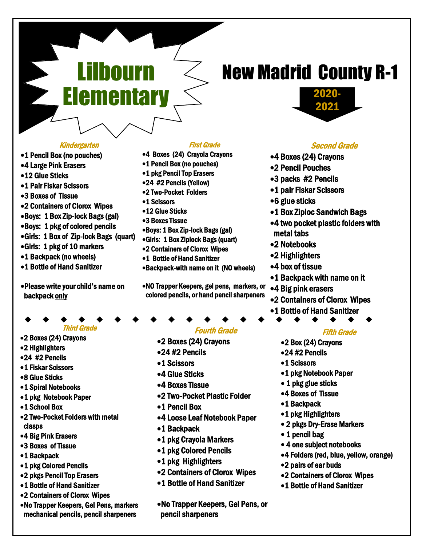### Kindergarten

Lilbourn

**Elementary** 

- 1 Pencil Box (no pouches)
- 4 Large Pink Erasers
- 12 Glue Sticks
- 1 Pair Fiskar Scissors
- 3 Boxes of Tissue
- 2 Containers of Clorox Wipes
- Boys: 1 Box Zip-lock Bags (gal)
- Boys: 1 pkg of colored pencils
- Girls: 1 Box of Zip-lock Bags (quart)
- Girls: 1 pkg of 10 markers
- •1 Backpack (no wheels)
- 1 Bottle of Hand Sanitizer
- Please write your child's name on backpack only
- 
- Third Grade 2 Boxes (24) Crayons
- 2 Highlighters
- 24 #2 Pencils
- 1 Fiskar Scissors
- 
- 8 Glue Sticks
- 1 Spiral Notebooks
- 1 pkg Notebook Paper
- 1 School Box
- 2 Two-Pocket Folders with metal clasps
- 4 Big Pink Erasers
- 3 Boxes of Tissue
- 1 Backpack
- 1 pkg Colored Pencils
- 2 pkgs Pencil Top Erasers
- 1 Bottle of Hand Sanitizer
- 2 Containers of Clorox Wipes
- No Trapper Keepers, Gel Pens, markers mechanical pencils, pencil sharpeners

#### First Grade

- 4 Boxes (24) Crayola Crayons
- •1 Pencil Box (no pouches)
- 1 pkg Pencil Top Erasers
- 24 #2 Pencils (Yellow)
- 2 Two-Pocket Folders
- •1 Scissors
- 12 Glue Sticks
- 3 Boxes Tissue
- Boys: 1 Box Zip-lock Bags (gal)
- Girls: 1 Box Ziplock Bags (quart)
- 2 Containers of Clorox Wipes
- 1 Bottle of Hand Sanitizer
- Backpack-with name on it (NO wheels)
- NO Trapper Keepers, gel pens, markers, or colored pencils, or hand pencil sharpeners

### Fourth Grade

- 2 Boxes (24) Crayons
- 24 #2 Pencils
- •1 Scissors
- 4 Glue Sticks
- 4 Boxes Tissue
- 2 Two-Pocket Plastic Folder
- 1 Pencil Box
- 4 Loose Leaf Notebook Paper
- 1 Backpack
- 1 pkg Crayola Markers
- 1 pkg Colored Pencils
- •1 pkg Highlighters
- 2 Containers of Clorox Wipes
- 1 Bottle of Hand Sanitizer
- No Trapper Keepers, Gel Pens, or pencil sharpeners

# New Madrid County R-1



### Second Grade

- 4 Boxes (24) Crayons
- 2 Pencil Pouches
- 3 packs #2 Pencils
- 1 pair Fiskar Scissors
- 6 glue sticks
- 1 Box Ziploc Sandwich Bags
- 4 two pocket plastic folders with metal tabs
- 2 Notebooks
- 2 Highlighters
- 4 box of tissue
- •1 Backpack with name on it
- 4 Big pink erasers
- 2 Containers of Clorox Wipes
- 1 Bottle of Hand Sanitizer ▲
	- Fifth Grade
	- 2 Box (24) Crayons
	- 24 #2 Pencils
	- •1 Scissors
	- 1 pkg Notebook Paper
	- 1 pkg glue sticks
	- 4 Boxes of Tissue
	- 1 Backpack
	- •1 pkg Highlighters
	- 2 pkgs Dry-Erase Markers
	- 1 pencil bag
	- 4 one subject notebooks
	- 4 Folders (red, blue, yellow, orange)
	- 2 pairs of ear buds
	- 2 Containers of Clorox Wipes
	- 1 Bottle of Hand Sanitizer